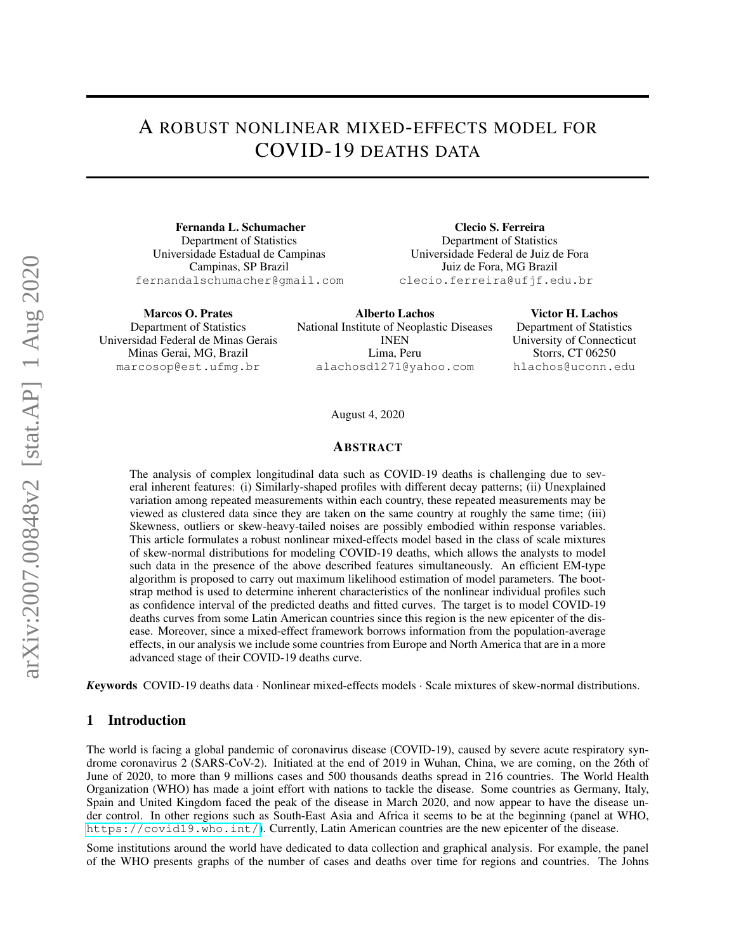# A ROBUST NONLINEAR MIXED-EFFECTS MODEL FOR COVID-19 DEATHS DATA

Fernanda L. Schumacher Department of Statistics Universidade Estadual de Campinas Campinas, SP Brazil fernandalschumacher@gmail.com

Clecio S. Ferreira Department of Statistics Universidade Federal de Juiz de Fora Juiz de Fora, MG Brazil clecio.ferreira@ufjf.edu.br

Marcos O. Prates Department of Statistics Universidad Federal de Minas Gerais Minas Gerai, MG, Brazil marcosop@est.ufmg.br

Alberto Lachos National Institute of Neoplastic Diseases INEN Lima, Peru alachosd1271@yahoo.com

Victor H. Lachos Department of Statistics University of Connecticut Storrs, CT 06250 hlachos@uconn.edu

August 4, 2020

#### ABSTRACT

The analysis of complex longitudinal data such as COVID-19 deaths is challenging due to several inherent features: (i) Similarly-shaped profiles with different decay patterns; (ii) Unexplained variation among repeated measurements within each country, these repeated measurements may be viewed as clustered data since they are taken on the same country at roughly the same time; (iii) Skewness, outliers or skew-heavy-tailed noises are possibly embodied within response variables. This article formulates a robust nonlinear mixed-effects model based in the class of scale mixtures of skew-normal distributions for modeling COVID-19 deaths, which allows the analysts to model such data in the presence of the above described features simultaneously. An efficient EM-type algorithm is proposed to carry out maximum likelihood estimation of model parameters. The bootstrap method is used to determine inherent characteristics of the nonlinear individual profiles such as confidence interval of the predicted deaths and fitted curves. The target is to model COVID-19 deaths curves from some Latin American countries since this region is the new epicenter of the disease. Moreover, since a mixed-effect framework borrows information from the population-average effects, in our analysis we include some countries from Europe and North America that are in a more advanced stage of their COVID-19 deaths curve.

*K*eywords COVID-19 deaths data · Nonlinear mixed-effects models · Scale mixtures of skew-normal distributions.

## 1 Introduction

The world is facing a global pandemic of coronavirus disease (COVID-19), caused by severe acute respiratory syndrome coronavirus 2 (SARS-CoV-2). Initiated at the end of 2019 in Wuhan, China, we are coming, on the 26th of June of 2020, to more than 9 millions cases and 500 thousands deaths spread in 216 countries. The World Health Organization (WHO) has made a joint effort with nations to tackle the disease. Some countries as Germany, Italy, Spain and United Kingdom faced the peak of the disease in March 2020, and now appear to have the disease under control. In other regions such as South-East Asia and Africa it seems to be at the beginning (panel at WHO, <https://covid19.who.int/>). Currently, Latin American countries are the new epicenter of the disease.

Some institutions around the world have dedicated to data collection and graphical analysis. For example, the panel of the WHO presents graphs of the number of cases and deaths over time for regions and countries. The Johns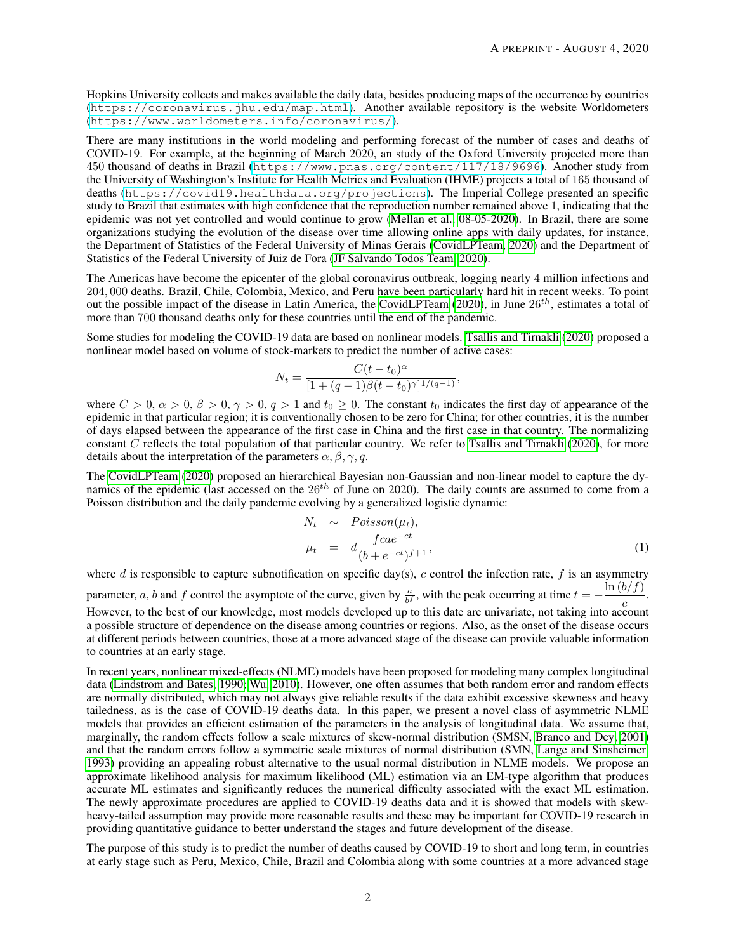Hopkins University collects and makes available the daily data, besides producing maps of the occurrence by countries (<https://coronavirus.jhu.edu/map.html>). Another available repository is the website Worldometers (<https://www.worldometers.info/coronavirus/>).

There are many institutions in the world modeling and performing forecast of the number of cases and deaths of COVID-19. For example, at the beginning of March 2020, an study of the Oxford University projected more than 450 thousand of deaths in Brazil (<https://www.pnas.org/content/117/18/9696>). Another study from the University of Washington's Institute for Health Metrics and Evaluation (IHME) projects a total of 165 thousand of deaths (<https://covid19.healthdata.org/projections>). The Imperial College presented an specific study to Brazil that estimates with high confidence that the reproduction number remained above 1, indicating that the epidemic was not yet controlled and would continue to grow [\(Mellan et al., 08-05-2020\)](#page-10-0). In Brazil, there are some organizations studying the evolution of the disease over time allowing online apps with daily updates, for instance, the Department of Statistics of the Federal University of Minas Gerais [\(CovidLPTeam, 2020\)](#page-9-0) and the Department of Statistics of the Federal University of Juiz de Fora [\(JF Salvando Todos Team, 2020\)](#page-9-1).

The Americas have become the epicenter of the global coronavirus outbreak, logging nearly 4 million infections and 204, 000 deaths. Brazil, Chile, Colombia, Mexico, and Peru have been particularly hard hit in recent weeks. To point out the possible impact of the disease in Latin America, the [CovidLPTeam](#page-9-0) [\(2020\)](#page-9-0), in June  $26^{th}$ , estimates a total of more than 700 thousand deaths only for these countries until the end of the pandemic.

Some studies for modeling the COVID-19 data are based on nonlinear models. [Tsallis and Tirnakli](#page-10-1) [\(2020\)](#page-10-1) proposed a nonlinear model based on volume of stock-markets to predict the number of active cases:

$$
N_t = \frac{C(t - t_0)^{\alpha}}{[1 + (q - 1)\beta(t - t_0)^{\gamma}]^{1/(q-1)}},
$$

where  $C > 0$ ,  $\alpha > 0$ ,  $\beta > 0$ ,  $\gamma > 0$ ,  $q > 1$  and  $t_0 \ge 0$ . The constant  $t_0$  indicates the first day of appearance of the epidemic in that particular region; it is conventionally chosen to be zero for China; for other countries, it is the number of days elapsed between the appearance of the first case in China and the first case in that country. The normalizing constant C reflects the total population of that particular country. We refer to [Tsallis and Tirnakli](#page-10-1) [\(2020\)](#page-10-1), for more details about the interpretation of the parameters  $\alpha, \beta, \gamma, q$ .

The [CovidLPTeam](#page-9-0) [\(2020\)](#page-9-0) proposed an hierarchical Bayesian non-Gaussian and non-linear model to capture the dynamics of the epidemic (last accessed on the  $26<sup>th</sup>$  of June on 2020). The daily counts are assumed to come from a Poisson distribution and the daily pandemic evolving by a generalized logistic dynamic:

<span id="page-1-0"></span>
$$
N_t \sim Poisson(\mu_t),
$$
  
\n
$$
\mu_t = d \frac{fcae^{-ct}}{(b + e^{-ct})^{f+1}},
$$
\n(1)

where  $d$  is responsible to capture subnotification on specific day(s),  $c$  control the infection rate,  $f$  is an asymmetry parameter, a, b and f control the asymptote of the curve, given by  $\frac{a}{b^f}$ , with the peak occurring at time  $t = \ln (b/f)$ c . However, to the best of our knowledge, most models developed up to this date are univariate, not taking into account a possible structure of dependence on the disease among countries or regions. Also, as the onset of the disease occurs at different periods between countries, those at a more advanced stage of the disease can provide valuable information to countries at an early stage.

In recent years, nonlinear mixed-effects (NLME) models have been proposed for modeling many complex longitudinal data [\(Lindstrom and Bates, 1990;](#page-9-2) [Wu, 2010\)](#page-10-2). However, one often assumes that both random error and random effects are normally distributed, which may not always give reliable results if the data exhibit excessive skewness and heavy tailedness, as is the case of COVID-19 deaths data. In this paper, we present a novel class of asymmetric NLME models that provides an efficient estimation of the parameters in the analysis of longitudinal data. We assume that, marginally, the random effects follow a scale mixtures of skew-normal distribution (SMSN, [Branco and Dey, 2001\)](#page-9-3) and that the random errors follow a symmetric scale mixtures of normal distribution (SMN, [Lange and Sinsheimer,](#page-9-4) [1993\)](#page-9-4) providing an appealing robust alternative to the usual normal distribution in NLME models. We propose an approximate likelihood analysis for maximum likelihood (ML) estimation via an EM-type algorithm that produces accurate ML estimates and significantly reduces the numerical difficulty associated with the exact ML estimation. The newly approximate procedures are applied to COVID-19 deaths data and it is showed that models with skewheavy-tailed assumption may provide more reasonable results and these may be important for COVID-19 research in providing quantitative guidance to better understand the stages and future development of the disease.

The purpose of this study is to predict the number of deaths caused by COVID-19 to short and long term, in countries at early stage such as Peru, Mexico, Chile, Brazil and Colombia along with some countries at a more advanced stage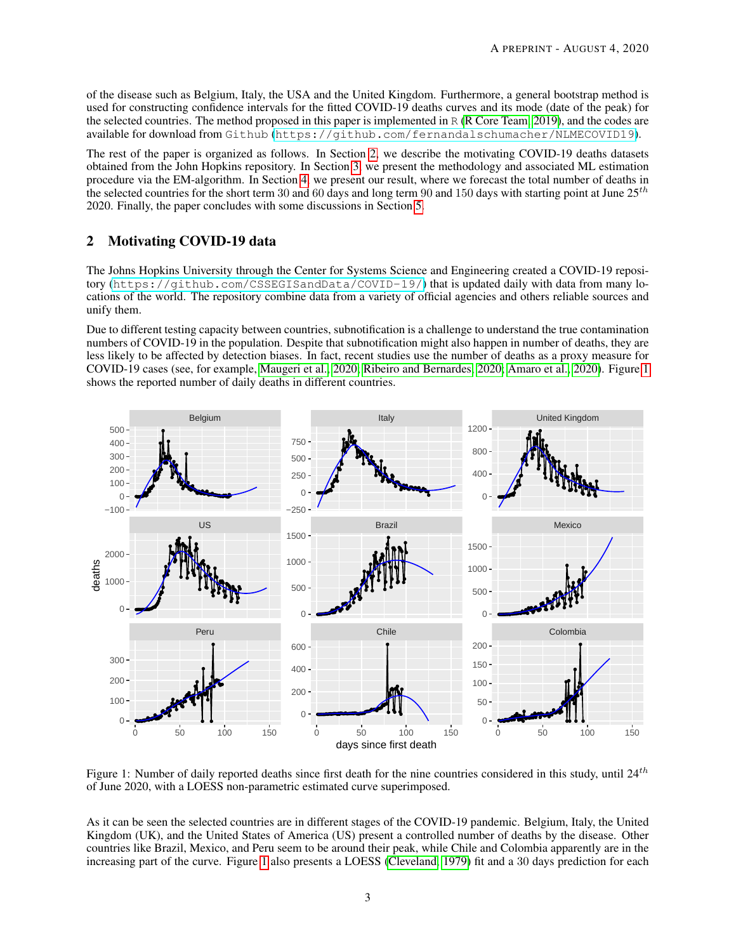of the disease such as Belgium, Italy, the USA and the United Kingdom. Furthermore, a general bootstrap method is used for constructing confidence intervals for the fitted COVID-19 deaths curves and its mode (date of the peak) for the selected countries. The method proposed in this paper is implemented in R [\(R Core Team, 2019\)](#page-10-3), and the codes are available for download from Github (<https://github.com/fernandalschumacher/NLMECOVID19>).

The rest of the paper is organized as follows. In Section [2,](#page-2-0) we describe the motivating COVID-19 deaths datasets obtained from the John Hopkins repository. In Section [3,](#page-3-0) we present the methodology and associated ML estimation procedure via the EM-algorithm. In Section [4,](#page-6-0) we present our result, where we forecast the total number of deaths in the selected countries for the short term 30 and 60 days and long term 90 and 150 days with starting point at June  $25^{th}$ 2020. Finally, the paper concludes with some discussions in Section [5.](#page-8-0)

# <span id="page-2-0"></span>2 Motivating COVID-19 data

The Johns Hopkins University through the Center for Systems Science and Engineering created a COVID-19 repository (<https://github.com/CSSEGISandData/COVID-19/>) that is updated daily with data from many locations of the world. The repository combine data from a variety of official agencies and others reliable sources and unify them.

Due to different testing capacity between countries, subnotification is a challenge to understand the true contamination numbers of COVID-19 in the population. Despite that subnotification might also happen in number of deaths, they are less likely to be affected by detection biases. In fact, recent studies use the number of deaths as a proxy measure for COVID-19 cases (see, for example, [Maugeri et al., 2020;](#page-9-5) [Ribeiro and Bernardes, 2020;](#page-10-4) [Amaro et al., 2020\)](#page-9-6). Figure [1](#page-2-1) shows the reported number of daily deaths in different countries.



<span id="page-2-1"></span>Figure 1: Number of daily reported deaths since first death for the nine countries considered in this study, until  $24^{th}$ of June 2020, with a LOESS non-parametric estimated curve superimposed.

As it can be seen the selected countries are in different stages of the COVID-19 pandemic. Belgium, Italy, the United Kingdom (UK), and the United States of America (US) present a controlled number of deaths by the disease. Other countries like Brazil, Mexico, and Peru seem to be around their peak, while Chile and Colombia apparently are in the increasing part of the curve. Figure [1](#page-2-1) also presents a LOESS [\(Cleveland, 1979\)](#page-9-7) fit and a 30 days prediction for each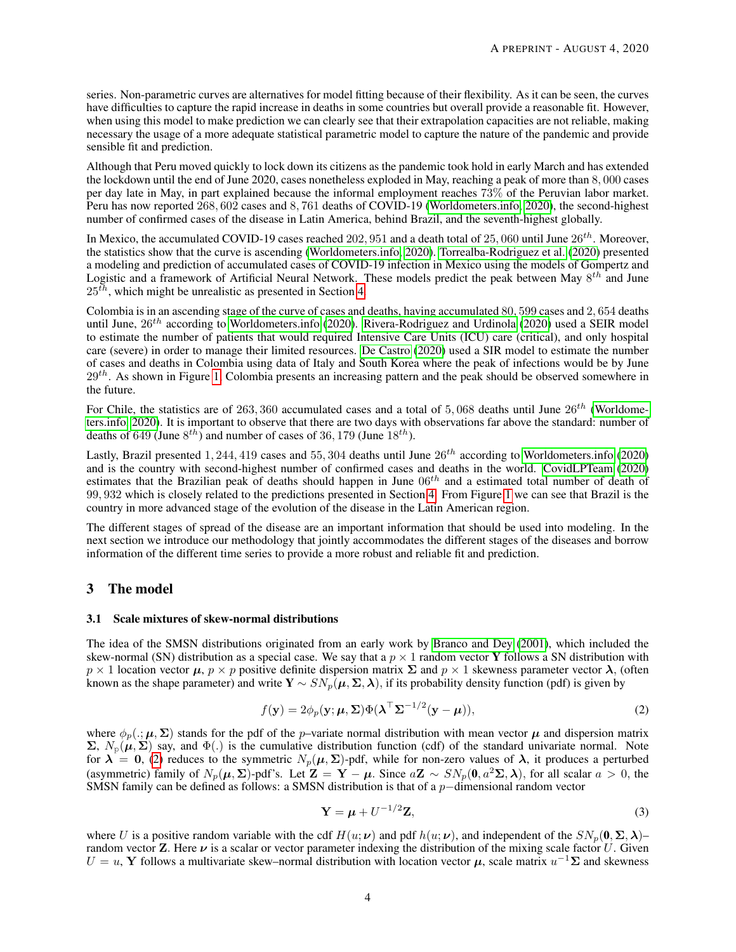series. Non-parametric curves are alternatives for model fitting because of their flexibility. As it can be seen, the curves have difficulties to capture the rapid increase in deaths in some countries but overall provide a reasonable fit. However, when using this model to make prediction we can clearly see that their extrapolation capacities are not reliable, making necessary the usage of a more adequate statistical parametric model to capture the nature of the pandemic and provide sensible fit and prediction.

Although that Peru moved quickly to lock down its citizens as the pandemic took hold in early March and has extended the lockdown until the end of June 2020, cases nonetheless exploded in May, reaching a peak of more than 8, 000 cases per day late in May, in part explained because the informal employment reaches 73% of the Peruvian labor market. Peru has now reported 268, 602 cases and 8, 761 deaths of COVID-19 [\(Worldometers.info, 2020\)](#page-10-5), the second-highest number of confirmed cases of the disease in Latin America, behind Brazil, and the seventh-highest globally.

In Mexico, the accumulated COVID-19 cases reached 202, 951 and a death total of 25, 060 until June  $26^{th}$ . Moreover, the statistics show that the curve is ascending [\(Worldometers.info, 2020\)](#page-10-5). [Torrealba-Rodriguez et al.](#page-10-6) [\(2020\)](#page-10-6) presented a modeling and prediction of accumulated cases of COVID-19 infection in Mexico using the models of Gompertz and Logistic and a framework of Artificial Neural Network. These models predict the peak between May  $8^{th}$  and June  $25<sup>th</sup>$ , which might be unrealistic as presented in Section [4.](#page-6-0)

Colombia is in an ascending stage of the curve of cases and deaths, having accumulated 80, 599 cases and 2, 654 deaths until June,  $26^{th}$  according to [Worldometers.info](#page-10-5) [\(2020\)](#page-10-7). [Rivera-Rodriguez and Urdinola](#page-10-7) (2020) used a SEIR model to estimate the number of patients that would required Intensive Care Units (ICU) care (critical), and only hospital care (severe) in order to manage their limited resources. [De Castro](#page-9-8) [\(2020\)](#page-9-8) used a SIR model to estimate the number of cases and deaths in Colombia using data of Italy and South Korea where the peak of infections would be by June  $29<sup>th</sup>$ . As shown in Figure [1,](#page-2-1) Colombia presents an increasing pattern and the peak should be observed somewhere in the future.

For Chile, the statistics are of 263, 360 accumulated cases and a total of 5,068 deaths until June  $26^{th}$  [\(Worldome](#page-10-5)[ters.info, 2020\)](#page-10-5). It is important to observe that there are two days with observations far above the standard: number of deaths of 649 (June  $8^{th}$ ) and number of cases of 36, 179 (June  $18^{th}$ ).

Lastly, Brazil presented 1, 244, 419 cases and 55, 304 deaths until June  $26^{th}$  according to [Worldometers.info](#page-10-5) [\(2020\)](#page-10-5) and is the country with second-highest number of confirmed cases and deaths in the world. [CovidLPTeam](#page-9-0) [\(2020\)](#page-9-0) estimates that the Brazilian peak of deaths should happen in June  $06^{th}$  and a estimated total number of death of 99, 932 which is closely related to the predictions presented in Section [4.](#page-6-0) From Figure [1](#page-2-1) we can see that Brazil is the country in more advanced stage of the evolution of the disease in the Latin American region.

The different stages of spread of the disease are an important information that should be used into modeling. In the next section we introduce our methodology that jointly accommodates the different stages of the diseases and borrow information of the different time series to provide a more robust and reliable fit and prediction.

## <span id="page-3-0"></span>3 The model

#### 3.1 Scale mixtures of skew-normal distributions

The idea of the SMSN distributions originated from an early work by [Branco and Dey](#page-9-3) [\(2001\)](#page-9-3), which included the skew-normal (SN) distribution as a special case. We say that a  $p \times 1$  random vector Y follows a SN distribution with  $p \times 1$  location vector  $\mu$ ,  $p \times p$  positive definite dispersion matrix  $\Sigma$  and  $p \times 1$  skewness parameter vector  $\lambda$ , (often known as the shape parameter) and write  $Y \sim SN_p(\mu, \Sigma, \lambda)$ , if its probability density function (pdf) is given by

<span id="page-3-1"></span>
$$
f(\mathbf{y}) = 2\phi_p(\mathbf{y}; \boldsymbol{\mu}, \boldsymbol{\Sigma}) \Phi(\boldsymbol{\lambda}^\top \boldsymbol{\Sigma}^{-1/2} (\mathbf{y} - \boldsymbol{\mu})),
$$
\n(2)

where  $\phi_p(.)$ ;  $\mu$ ,  $\Sigma$ ) stands for the pdf of the *p*–variate normal distribution with mean vector  $\mu$  and dispersion matrix  $\Sigma$ ,  $N_{\rm p}(\mu, \Sigma)$  say, and  $\Phi(.)$  is the cumulative distribution function (cdf) of the standard univariate normal. Note for  $\lambda = 0$ , [\(2\)](#page-3-1) reduces to the symmetric  $N_p(\mu, \Sigma)$ -pdf, while for non-zero values of  $\lambda$ , it produces a perturbed (asymmetric) family of  $N_p(\mu, \Sigma)$ -pdf's. Let  $\mathbf{Z} = \mathbf{Y} - \mu$ . Since  $a\mathbf{Z} \sim SN_p(\mathbf{0}, a^2\Sigma, \lambda)$ , for all scalar  $a > 0$ , the SMSN family can be defined as follows: a SMSN distribution is that of a p−dimensional random vector

$$
\mathbf{Y} = \boldsymbol{\mu} + U^{-1/2} \mathbf{Z},\tag{3}
$$

where U is a positive random variable with the cdf  $H(u; v)$  and pdf  $h(u; v)$ , and independent of the  $SN_p(0, \Sigma, \lambda)$ – random vector **Z**. Here  $\nu$  is a scalar or vector parameter indexing the distribution of the mixing scale factor U. Given  $U = u$ , Y follows a multivariate skew–normal distribution with location vector  $\mu$ , scale matrix  $u^{-1}\Sigma$  and skewness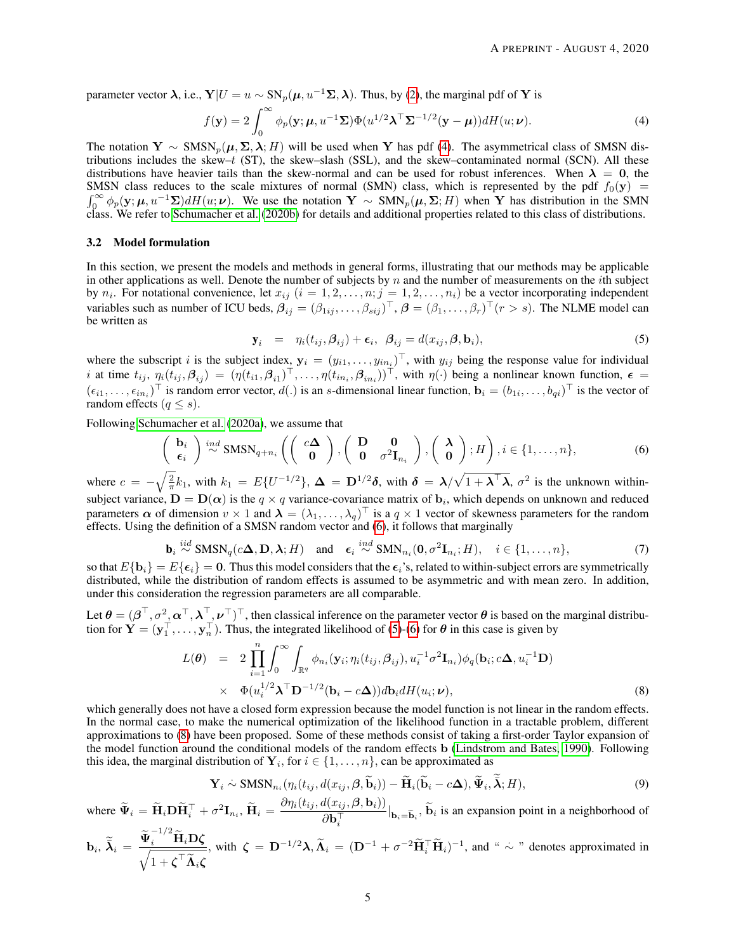parameter vector  $\lambda$ , i.e.,  $Y|U = u \sim SN_n(\mu, u^{-1}\Sigma, \lambda)$ . Thus, by [\(2\)](#page-3-1), the marginal pdf of Y is

<span id="page-4-0"></span>
$$
f(\mathbf{y}) = 2 \int_0^\infty \phi_p(\mathbf{y}; \boldsymbol{\mu}, u^{-1} \boldsymbol{\Sigma}) \Phi(u^{1/2} \boldsymbol{\lambda}^\top \boldsymbol{\Sigma}^{-1/2} (\mathbf{y} - \boldsymbol{\mu})) dH(u; \boldsymbol{\nu}).
$$
 (4)

The notation Y ~  $\text{SMSN}_p(\mu, \Sigma, \lambda; H)$  will be used when Y has pdf [\(4\)](#page-4-0). The asymmetrical class of SMSN distributions includes the skew- $t$  (ST), the skew-slash (SSL), and the skew-contaminated normal (SCN). All these distributions have heavier tails than the skew-normal and can be used for robust inferences. When  $\lambda = 0$ , the SMSN class reduces to the scale mixtures of normal (SMN) class, which is represented by the pdf  $f_0(y)$  =  $\int_0^\infty \phi_p(\mathbf{y}; \mu, u^{-1}\Sigma) dH(u; \nu)$ . We use the notation  $\mathbf{Y} \sim \text{SMN}_p(\mu, \Sigma; H)$  when Y has distribution in the SMN class. We refer to [Schumacher et al.](#page-10-8) [\(2020b\)](#page-10-8) for details and additional properties related to this class of distributions.

#### 3.2 Model formulation

In this section, we present the models and methods in general forms, illustrating that our methods may be applicable in other applications as well. Denote the number of subjects by  $n$  and the number of measurements on the *i*th subject by  $n_i$ . For notational convenience, let  $x_{ij}$   $(i = 1, 2, \ldots, n; j = 1, 2, \ldots, n_i)$  be a vector incorporating independent variables such as number of ICU beds,  $\beta_{ij} = (\beta_{1ij}, \dots, \beta_{sij})^\top$ ,  $\beta = (\beta_1, \dots, \beta_r)^\top (r > s)$ . The NLME model can be written as

<span id="page-4-2"></span>
$$
\mathbf{y}_i = \eta_i(t_{ij}, \boldsymbol{\beta}_{ij}) + \boldsymbol{\epsilon}_i, \ \boldsymbol{\beta}_{ij} = d(x_{ij}, \boldsymbol{\beta}, \mathbf{b}_i), \tag{5}
$$

where the subscript i is the subject index,  $y_i = (y_{i1}, \dots, y_{in_i})^\top$ , with  $y_{ij}$  being the response value for individual *i* at time  $t_{ij}$ ,  $\eta_i(t_{ij}, \beta_{ij}) = (\eta(t_{i1}, \beta_{i1})^\top, \dots, \eta(t_{in_i}, \beta_{in_i}))^\top$ , with  $\eta(\cdot)$  being a nonlinear known function,  $\epsilon =$  $(\epsilon_{i1},\ldots,\epsilon_{in_i})^{\top}$  is random error vector,  $d(.)$  is an s-dimensional linear function,  $\mathbf{b}_i = (b_{1i},\ldots,b_{qi})^{\top}$  is the vector of random effects ( $q \leq s$ ).

Following [Schumacher et al.](#page-10-9) [\(2020a\)](#page-10-9), we assume that

<span id="page-4-1"></span>
$$
\begin{pmatrix} \mathbf{b}_i \\ \epsilon_i \end{pmatrix} \stackrel{ind}{\sim} \text{SMSN}_{q+n_i} \left( \begin{pmatrix} c\Delta \\ 0 \end{pmatrix}, \begin{pmatrix} \mathbf{D} & \mathbf{0} \\ \mathbf{0} & \sigma^2 \mathbf{I}_{n_i} \end{pmatrix}, \begin{pmatrix} \lambda \\ 0 \end{pmatrix}; H \right), i \in \{1, \dots, n\},\tag{6}
$$

where  $c = -\sqrt{\frac{2}{\pi}}k_1$ , with  $k_1 = E\{U^{-1/2}\}, \Delta = D^{1/2}\delta$ , with  $\delta = \lambda/\sqrt{1 + \lambda^{\top}\lambda}$ ,  $\sigma^2$  is the unknown withinsubject variance,  $D = D(\alpha)$  is the  $q \times q$  variance-covariance matrix of  $b_i$ , which depends on unknown and reduced parameters  $\alpha$  of dimension  $v \times 1$  and  $\lambda = (\lambda_1, \dots, \lambda_q)^\top$  is a  $q \times 1$  vector of skewness parameters for the random effects. Using the definition of a SMSN random vector and [\(6\)](#page-4-1), it follows that marginally

$$
\mathbf{b}_i \stackrel{iid}{\sim} \text{SMSN}_q(c\mathbf{\Delta}, \mathbf{D}, \mathbf{\lambda}; H) \quad \text{and} \quad \epsilon_i \stackrel{ind}{\sim} \text{SMN}_{n_i}(\mathbf{0}, \sigma^2 \mathbf{I}_{n_i}; H), \quad i \in \{1, \dots, n\}, \tag{7}
$$

so that  $E{\bf b_i} = E{\bf \epsilon_i} = 0$ . Thus this model considers that the  $\epsilon_i$ 's, related to within-subject errors are symmetrically distributed, while the distribution of random effects is assumed to be asymmetric and with mean zero. In addition, under this consideration the regression parameters are all comparable.

Let  $\theta = (\beta^\top, \sigma^2, \alpha^\top, \lambda^\top, \nu^\top)^\top$ , then classical inference on the parameter vector  $\theta$  is based on the marginal distribution for  $\mathbf{Y} = (\mathbf{y}_1^\top, \dots, \mathbf{y}_n^\top)$ . Thus, the integrated likelihood of [\(5\)](#page-4-2)-[\(6\)](#page-4-1) for  $\theta$  in this case is given by

<span id="page-4-3"></span>
$$
L(\boldsymbol{\theta}) = 2 \prod_{i=1}^{n} \int_{0}^{\infty} \int_{\mathbb{R}^{q}} \phi_{n_{i}}(\mathbf{y}_{i}; \eta_{i}(t_{ij}, \boldsymbol{\beta}_{ij}), u_{i}^{-1} \sigma^{2} \mathbf{I}_{n_{i}}) \phi_{q}(\mathbf{b}_{i}; c\boldsymbol{\Delta}, u_{i}^{-1} \mathbf{D})
$$
  
 
$$
\times \Phi(u_{i}^{1/2} \boldsymbol{\lambda}^{T} \mathbf{D}^{-1/2} (\mathbf{b}_{i} - c\boldsymbol{\Delta})) d\mathbf{b}_{i} dH(u_{i}; \boldsymbol{\nu}),
$$
 (8)

which generally does not have a closed form expression because the model function is not linear in the random effects. In the normal case, to make the numerical optimization of the likelihood function in a tractable problem, different approximations to [\(8\)](#page-4-3) have been proposed. Some of these methods consist of taking a first-order Taylor expansion of the model function around the conditional models of the random effects b [\(Lindstrom and Bates, 1990\)](#page-9-2). Following this idea, the marginal distribution of  $Y_i$ , for  $i \in \{1, ..., n\}$ , can be approximated as

<span id="page-4-4"></span>
$$
\mathbf{Y}_{i} \sim \text{SMSN}_{n_{i}}(\eta_{i}(t_{ij}, d(x_{ij}, \beta, \widetilde{\mathbf{b}}_{i})) - \widetilde{\mathbf{H}}_{i}(\widetilde{\mathbf{b}}_{i} - c\Delta), \widetilde{\Psi}_{i}, \widetilde{\lambda}; H),
$$
\n(9)

where  $\widetilde{\Psi}_i = \widetilde{\mathbf{H}}_i \mathbf{D} \widetilde{\mathbf{H}}_i^\top + \sigma^2 \mathbf{I}_{n_i}, \widetilde{\mathbf{H}}_i = \frac{\partial \eta_i(t_{ij}, d(x_{ij}, \boldsymbol{\beta}, \mathbf{b}_i))}{\partial \mathbf{b}^\top}$  $\frac{\partial \phi(x_i, y_j, \mu, \mu)}{\partial \mathbf{b}_i^{\top}}|_{\mathbf{b}_i = \widetilde{\mathbf{b}}_i}$ ,  $\mathbf{b}_i$  is an expansion point in a neighborhood of

$$
\mathbf{b}_{i}, \ \tilde{\lambda}_{i} = \frac{\tilde{\Psi}_{i}^{-1/2} \tilde{\mathbf{H}}_{i} \mathbf{D} \zeta}{\sqrt{1 + \zeta^{\top} \tilde{\mathbf{\Lambda}}_{i} \zeta}}, \text{ with } \ \zeta = \mathbf{D}^{-1/2} \lambda, \widetilde{\mathbf{\Lambda}}_{i} = (\mathbf{D}^{-1} + \sigma^{-2} \tilde{\mathbf{H}}_{i}^{\top} \tilde{\mathbf{H}}_{i})^{-1}, \text{ and } \text{``} \sim \text{''} \text{ denotes approximated in}
$$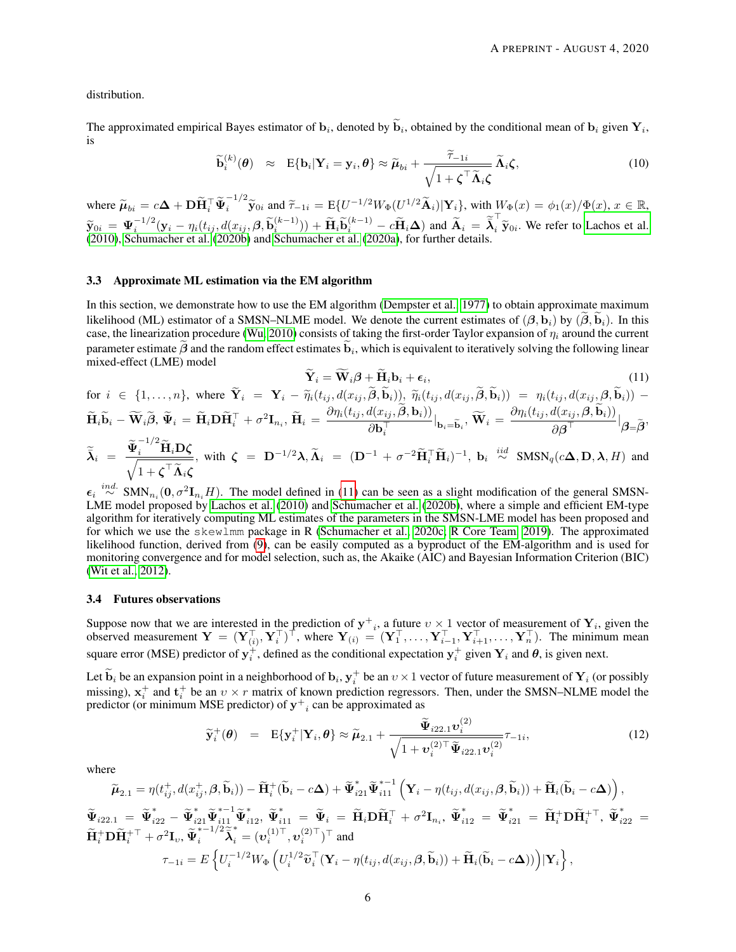distribution.

The approximated empirical Bayes estimator of  $\mathbf{b}_i$ , denoted by  $\mathbf{b}_i$ , obtained by the conditional mean of  $\mathbf{b}_i$  given  $\mathbf{Y}_i$ , is

$$
\widetilde{\mathbf{b}}_i^{(k)}(\boldsymbol{\theta}) \approx \mathbf{E}\{\mathbf{b}_i|\mathbf{Y}_i=\mathbf{y}_i,\boldsymbol{\theta}\}\approx \widetilde{\boldsymbol{\mu}}_{bi}+\frac{\widetilde{\tau}_{-1i}}{\sqrt{1+\boldsymbol{\zeta}^\top\widetilde{\boldsymbol{\Lambda}}_i\boldsymbol{\zeta}}}\widetilde{\boldsymbol{\Lambda}}_i\boldsymbol{\zeta},
$$
\n(10)

where  $\widetilde{\mu}_{bi} = c\Delta + \mathbf{D}\widetilde{\mathbf{H}}_i^\top \widetilde{\mathbf{\Psi}}_i^{-1/2} \widetilde{\mathbf{y}}_{0i}$  and  $\widetilde{\tau}_{-1i} = \mathrm{E}\{U^{-1/2}W_{\Phi}(U^{1/2}\widetilde{\mathbf{A}}_i)|\mathbf{Y}_i\}$ , with  $W_{\Phi}(x) = \phi_1(x)/\Phi(x)$ ,  $x \in \mathbb{R}$ ,  $\widetilde{\mathbf{y}}_{0i} = \boldsymbol{\Psi}_i^{-1/2} (\mathbf{y}_i - \eta_i(t_{ij}, d(x_{ij}, \beta, \widetilde{\mathbf{b}}_i^{(k-1)})) + \widetilde{\mathbf{H}}_i \widetilde{\mathbf{b}}_i^{(k-1)} - c \widetilde{\mathbf{H}}_i \Delta)$  and  $\widetilde{\mathbf{A}}_i = \widetilde{\overline{\lambda}}_i^{\top} \widetilde{\mathbf{y}}_{0i}$ . We refer to [Lachos et al.](#page-9-9)<br>(2010) Schumacher et al. [\(2010\)](#page-9-9), [Schumacher et al.](#page-10-8) [\(2020b\)](#page-10-8) and [Schumacher et al.](#page-10-9) [\(2020a\)](#page-10-9), for further details.

#### <span id="page-5-1"></span>3.3 Approximate ML estimation via the EM algorithm

In this section, we demonstrate how to use the EM algorithm [\(Dempster et al., 1977\)](#page-9-10) to obtain approximate maximum likelihood (ML) estimator of a SMSN–NLME model. We denote the current estimates of  $(\beta, b_i)$  by  $(\widetilde{\beta}, \widetilde{b}_i)$ . In this case, the linearization procedure [\(Wu, 2010\)](#page-10-2) consists of taking the first-order Taylor expansion of  $\eta_i$  around the current parameter estimate  $\beta$  and the random effect estimates  $\mathbf{b}_i$ , which is equivalent to iteratively solving the following linear mixed-effect (LME) model

<span id="page-5-0"></span>
$$
\widetilde{\mathbf{Y}}_i = \widetilde{\mathbf{W}}_i \boldsymbol{\beta} + \widetilde{\mathbf{H}}_i \mathbf{b}_i + \boldsymbol{\epsilon}_i, \tag{11}
$$

for 
$$
i \in \{1, ..., n\}
$$
, where  $\tilde{\mathbf{Y}}_i = \mathbf{Y}_i - \tilde{\eta}_i(t_{ij}, d(x_{ij}, \tilde{\boldsymbol{\beta}}, \tilde{\mathbf{b}}_i)), \ \tilde{\eta}_i(t_{ij}, d(x_{ij}, \tilde{\boldsymbol{\beta}}, \tilde{\mathbf{b}}_i)) = \eta_i(t_{ij}, d(x_{ij}, \boldsymbol{\beta}, \tilde{\mathbf{b}}_i)) - \tilde{\mathbf{H}}_i \tilde{\mathbf{b}}_i - \tilde{\mathbf{W}}_i \tilde{\boldsymbol{\beta}}, \ \tilde{\boldsymbol{\Psi}}_i = \tilde{\mathbf{H}}_i \mathbf{D} \tilde{\mathbf{H}}_i^\top + \sigma^2 \mathbf{I}_{n_i}, \ \tilde{\mathbf{H}}_i = \frac{\partial \eta_i(t_{ij}, d(x_{ij}, \tilde{\boldsymbol{\beta}}, \mathbf{b}_i))}{\partial \mathbf{b}_i^\top} \big|_{\mathbf{b}_i = \tilde{\mathbf{b}}_i}, \ \tilde{\mathbf{W}}_i = \frac{\partial \eta_i(t_{ij}, d(x_{ij}, \boldsymbol{\beta}, \tilde{\mathbf{b}}_i))}{\partial \boldsymbol{\beta}^\top} \big| \boldsymbol{\beta} = \tilde{\boldsymbol{\beta}},$ 

$$
\widetilde{\lambda}_i = \frac{\widetilde{\Psi}_i^{-1/2} \widetilde{\mathbf{H}}_i \mathbf{D} \zeta}{\sqrt{1 + \zeta^{\top} \widetilde{\Lambda}_i \zeta}}, \text{ with } \zeta = \mathbf{D}^{-1/2} \lambda, \widetilde{\Lambda}_i = (\mathbf{D}^{-1} + \sigma^{-2} \widetilde{\mathbf{H}}_i^{\top} \widetilde{\mathbf{H}}_i)^{-1}, \mathbf{b}_i \stackrel{iid}{\sim} \text{SMSN}_q(c\Delta, \mathbf{D}, \lambda, H) \text{ and }
$$

 $\epsilon_i \stackrel{ind.}{\sim} \text{SMN}_{n_i}(\mathbf{0}, \sigma^2 \mathbf{I}_{n_i} H)$ . The model defined in [\(11\)](#page-5-0) can be seen as a slight modification of the general SMSN-LME model proposed by [Lachos et al.](#page-9-9) [\(2010\)](#page-9-9) and [Schumacher et al.](#page-10-8) [\(2020b\)](#page-10-8), where a simple and efficient EM-type algorithm for iteratively computing ML estimates of the parameters in the SMSN-LME model has been proposed and for which we use the skewlmm package in R [\(Schumacher et al., 2020c;](#page-10-10) [R Core Team, 2019\)](#page-10-3). The approximated likelihood function, derived from [\(9\)](#page-4-4), can be easily computed as a byproduct of the EM-algorithm and is used for monitoring convergence and for model selection, such as, the Akaike (AIC) and Bayesian Information Criterion (BIC) [\(Wit et al., 2012\)](#page-10-11).

#### 3.4 Futures observations

Suppose now that we are interested in the prediction of  $y^+$ , a future  $v \times 1$  vector of measurement of  $Y_i$ , given the observed measurement  $\mathbf{Y} = (\mathbf{Y}_{(i)}^\top, \mathbf{Y}_{i}^\top)^\top$ , where  $\mathbf{Y}_{(i)} = (\mathbf{Y}_{1}^\top, \dots, \mathbf{Y}_{i-1}^\top, \mathbf{Y}_{i+1}^\top, \dots, \mathbf{Y}_{n}^\top)$ . The minimum mean square error (MSE) predictor of  $y_i^+$ , defined as the conditional expectation  $y_i^+$  given  $Y_i$  and  $\theta$ , is given next.

Let  $\widetilde{\mathbf{b}}_i$  be an expansion point in a neighborhood of  $\mathbf{b}_i$ ,  $\mathbf{y}_i^+$  be an  $v \times 1$  vector of future measurement of  $\mathbf{Y}_i$  (or possibly missing),  $x_i^+$  and  $t_i^+$  be an  $v \times r$  matrix of known prediction regressors. Then, under the SMSN–NLME model the predictor (or minimum MSE predictor) of  $y^+$ <sub>i</sub> can be approximated as

$$
\widetilde{\mathbf{y}}_i^+(\boldsymbol{\theta}) = \mathbf{E}\{\mathbf{y}_i^+|\mathbf{Y}_i,\boldsymbol{\theta}\} \approx \widetilde{\boldsymbol{\mu}}_{2.1} + \frac{\widetilde{\boldsymbol{\Psi}}_{i22.1}\boldsymbol{v}_i^{(2)}}{\sqrt{1+\boldsymbol{v}_i^{(2)\top}\widetilde{\boldsymbol{\Psi}}_{i22.1}\boldsymbol{v}_i^{(2)}}}\tau_{-1i},
$$
\n(12)

where

$$
\widetilde{\mathbf{\mu}}_{2.1} = \eta(t_{ij}^+, d(x_{ij}^+, \beta, \widetilde{\mathbf{b}}_i)) - \widetilde{\mathbf{H}}_i^+(\widetilde{\mathbf{b}}_i - c\Delta) + \widetilde{\mathbf{\Psi}}_{i21}^*\widetilde{\mathbf{\Psi}}_{i11}^{*-1} \left( \mathbf{Y}_i - \eta(t_{ij}, d(x_{ij}, \beta, \widetilde{\mathbf{b}}_i)) + \widetilde{\mathbf{H}}_i(\widetilde{\mathbf{b}}_i - c\Delta) \right),
$$
\n
$$
\widetilde{\mathbf{\Psi}}_{i22.1} = \widetilde{\mathbf{\Psi}}_{i22}^* - \widetilde{\mathbf{\Psi}}_{i21}^*\widetilde{\mathbf{\Psi}}_{i11}^{*-1} \widetilde{\mathbf{\Psi}}_{i12}^*, \widetilde{\mathbf{\Psi}}_{i11}^{*-1} = \widetilde{\mathbf{\Psi}}_i = \widetilde{\mathbf{H}}_i \mathbf{D} \widetilde{\mathbf{H}}_i^+ + \sigma^2 \mathbf{I}_{n_i}, \widetilde{\mathbf{\Psi}}_{i12}^* = \widetilde{\mathbf{\Psi}}_{i21}^* = \widetilde{\mathbf{H}}_i^+ \mathbf{D} \widetilde{\mathbf{H}}_i^{+ \top}, \widetilde{\mathbf{\Psi}}_{i22}^{*} =
$$
\n
$$
\widetilde{\mathbf{H}}_i^+ \mathbf{D} \widetilde{\mathbf{H}}_i^{+ \top} + \sigma^2 \mathbf{I}_{v}, \widetilde{\mathbf{\Psi}}_i^{*-1/2} \widetilde{\mathbf{\widetilde{\lambda}}}_i^* = (\mathbf{v}_i^{(1) \top}, \mathbf{v}_i^{(2) \top})^\top \text{ and}
$$
\n
$$
\tau_{-1i} = E \left\{ U_i^{-1/2} W_{\Phi} \left( U_i^{1/2} \widetilde{\mathbf{v}}_i^{\top} (\mathbf{Y}_i - \eta(t_{ij}, d(x_{ij}, \beta, \widetilde{\mathbf{b}}_i)) + \widetilde{\mathbf{H}}_i (\widetilde{\mathbf{b}}_i - c\Delta) \right) \right) | \mathbf{Y}_i \right\},
$$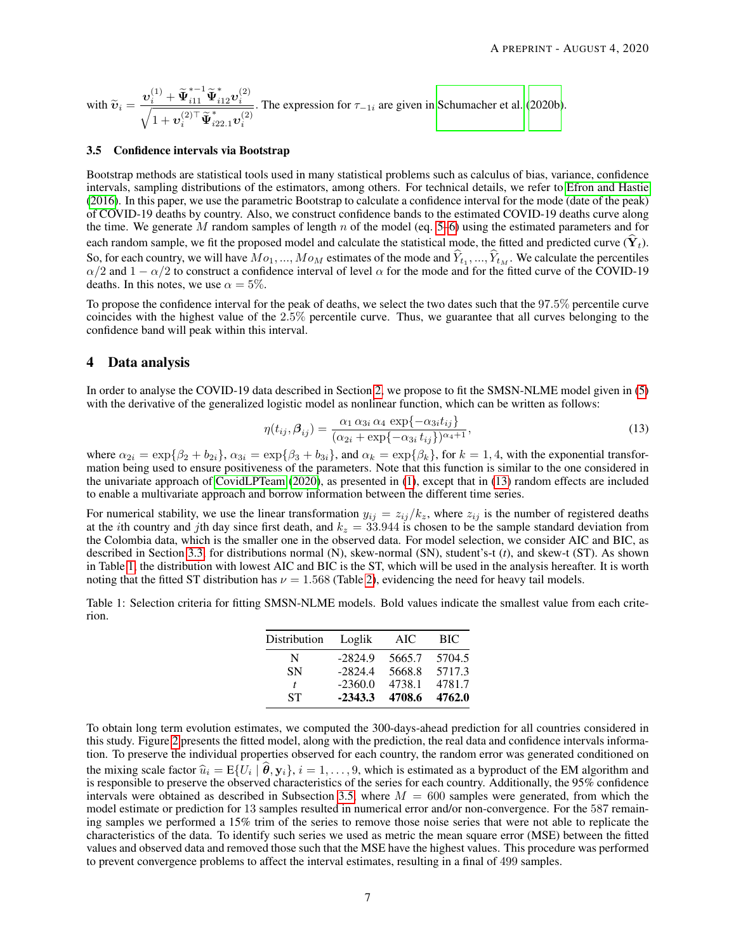with  $\widetilde{\mathbf{v}}_i = \frac{\mathbf{v}_i^{(1)} + \widetilde{\mathbf{\Psi}}_{i11}^{*+1} \widetilde{\mathbf{\Psi}}_{i12}^{*} \mathbf{v}_i^{(2)}}{\sqrt{1 + \mathbf{v}_i^{(2)} + \widetilde{\mathbf{u}}_i^{*} + \cdots + \mathbf{v}_i^{(2)}}}$  $\frac{1}{2}$ i  $1+\bm{v}_i^{(2)\top} \widetilde{\bm{\Psi}}^*_{i22.1} \bm{v}_i^{(2)}$ . The expression for  $\tau_{-1i}$  are given in [Schumacher et al.](#page-10-8) [\(2020b\)](#page-10-8).

#### <span id="page-6-3"></span>3.5 Confidence intervals via Bootstrap

Bootstrap methods are statistical tools used in many statistical problems such as calculus of bias, variance, confidence intervals, sampling distributions of the estimators, among others. For technical details, we refer to [Efron and Hastie](#page-9-11) [\(2016\)](#page-9-11). In this paper, we use the parametric Bootstrap to calculate a confidence interval for the mode (date of the peak) of COVID-19 deaths by country. Also, we construct confidence bands to the estimated COVID-19 deaths curve along the time. We generate M random samples of length n of the model (eq.  $5-6$ ) using the estimated parameters and for each random sample, we fit the proposed model and calculate the statistical mode, the fitted and predicted curve  $(Y_t)$ . So, for each country, we will have  $Mo_1, ..., Mo_M$  estimates of the mode and  $Y_{t_1}, ..., Y_{t_M}$ . We calculate the percentiles  $\alpha/2$  and  $1 - \alpha/2$  to construct a confidence interval of level  $\alpha$  for the mode and for the fitted curv deaths. In this notes, we use  $\alpha = 5\%$ .

To propose the confidence interval for the peak of deaths, we select the two dates such that the 97.5% percentile curve coincides with the highest value of the 2.5% percentile curve. Thus, we guarantee that all curves belonging to the confidence band will peak within this interval.

## <span id="page-6-0"></span>4 Data analysis

In order to analyse the COVID-19 data described in Section [2,](#page-2-0) we propose to fit the SMSN-NLME model given in [\(5\)](#page-4-2) with the derivative of the generalized logistic model as nonlinear function, which can be written as follows:

<span id="page-6-1"></span>
$$
\eta(t_{ij}, \beta_{ij}) = \frac{\alpha_1 \alpha_{3i} \alpha_4 \exp\{-\alpha_{3i} t_{ij}\}}{(\alpha_{2i} + \exp\{-\alpha_{3i} t_{ij}\})^{\alpha_4 + 1}},
$$
\n(13)

where  $\alpha_{2i} = \exp\{\beta_2 + b_{2i}\}, \alpha_{3i} = \exp\{\beta_3 + b_{3i}\}, \text{ and } \alpha_k = \exp\{\beta_k\}, \text{ for } k = 1, 4, \text{ with the exponential transformation of } \alpha_k = \exp\{\beta_k\}$ mation being used to ensure positiveness of the parameters. Note that this function is similar to the one considered in the univariate approach of [CovidLPTeam](#page-9-0) [\(2020\)](#page-9-0), as presented in [\(1\)](#page-1-0), except that in [\(13\)](#page-6-1) random effects are included to enable a multivariate approach and borrow information between the different time series.

For numerical stability, we use the linear transformation  $y_{ij} = z_{ij}/k_z$ , where  $z_{ij}$  is the number of registered deaths at the *i*th country and *j*th day since first death, and  $k_z = 33.944$  is chosen to be the sample standard deviation from the Colombia data, which is the smaller one in the observed data. For model selection, we consider AIC and BIC, as described in Section [3.3,](#page-5-1) for distributions normal (N), skew-normal (SN), student's-t (*t*), and skew-t (ST). As shown in Table [1,](#page-6-2) the distribution with lowest AIC and BIC is the ST, which will be used in the analysis hereafter. It is worth noting that the fitted ST distribution has  $\nu = 1.568$  (Table [2\)](#page-7-0), evidencing the need for heavy tail models.

<span id="page-6-2"></span>Table 1: Selection criteria for fitting SMSN-NLME models. Bold values indicate the smallest value from each criterion.

| Distribution | Loglik    | AIC    | BIC    |
|--------------|-----------|--------|--------|
| N            | $-2824.9$ | 5665.7 | 5704.5 |
| SΝ           | $-2824.4$ | 5668.8 | 5717.3 |
| t            | $-2360.0$ | 4738.1 | 4781.7 |
| <b>ST</b>    | $-2343.3$ | 4708.6 | 4762.0 |

To obtain long term evolution estimates, we computed the 300-days-ahead prediction for all countries considered in this study. Figure [2](#page-7-1) presents the fitted model, along with the prediction, the real data and confidence intervals information. To preserve the individual properties observed for each country, the random error was generated conditioned on the mixing scale factor  $\hat{u}_i = E\{U_i \mid \theta, y_i\}, i = 1, \dots, 9$ , which is estimated as a byproduct of the EM algorithm and is responsible to preserve the observed characteristics of the series for each country. Additionally, th is responsible to preserve the observed characteristics of the series for each country. Additionally, the 95% confidence intervals were obtained as described in Subsection [3.5,](#page-6-3) where  $M = 600$  samples were generated, from which the model estimate or prediction for 13 samples resulted in numerical error and/or non-convergence. For the 587 remaining samples we performed a 15% trim of the series to remove those noise series that were not able to replicate the characteristics of the data. To identify such series we used as metric the mean square error (MSE) between the fitted values and observed data and removed those such that the MSE have the highest values. This procedure was performed to prevent convergence problems to affect the interval estimates, resulting in a final of 499 samples.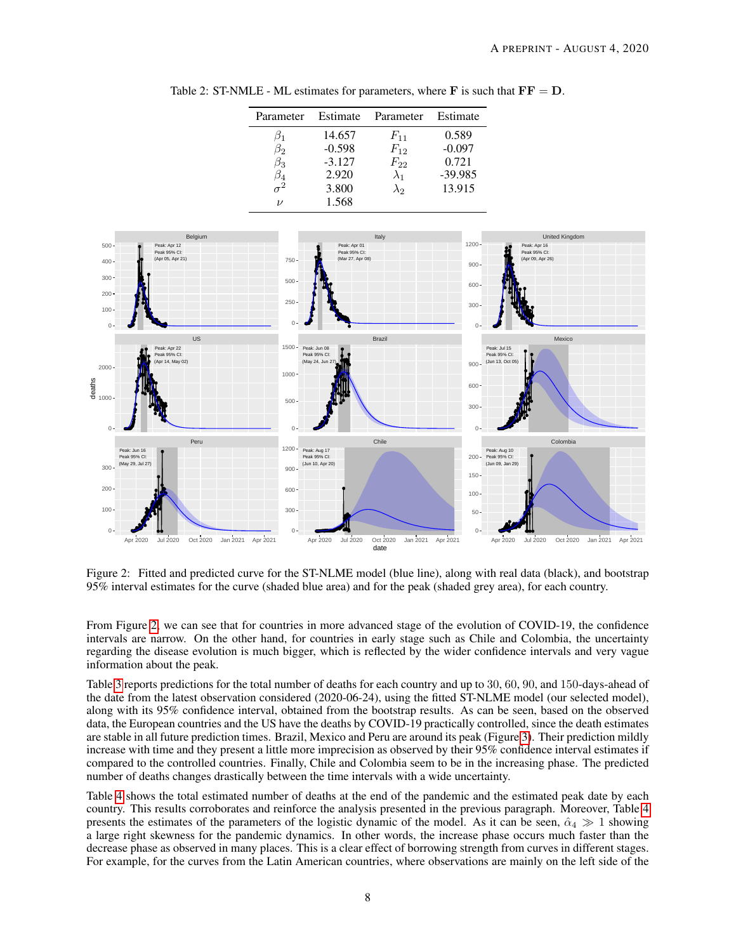<span id="page-7-0"></span>

| Parameter          | Estimate | Parameter   | Estimate  |
|--------------------|----------|-------------|-----------|
| ו ט                | 14.657   | $F_{11}$    | 0.589     |
| в2                 | $-0.598$ | $F_{12}$    | $-0.097$  |
| $\beta_3$          | $-3.127$ | $F_{22}$    | 0.721     |
| 54                 | 2.920    | $\lambda_1$ | $-39.985$ |
| $\tau^2$           | 3.800    | $\lambda_2$ | 13.915    |
| $\boldsymbol{\nu}$ | 1.568    |             |           |

Table 2: ST-NMLE - ML estimates for parameters, where  $\bf{F}$  is such that  $\bf{FF} = \bf{D}$ .



<span id="page-7-1"></span>Figure 2: Fitted and predicted curve for the ST-NLME model (blue line), along with real data (black), and bootstrap 95% interval estimates for the curve (shaded blue area) and for the peak (shaded grey area), for each country.

From Figure [2,](#page-7-1) we can see that for countries in more advanced stage of the evolution of COVID-19, the confidence intervals are narrow. On the other hand, for countries in early stage such as Chile and Colombia, the uncertainty regarding the disease evolution is much bigger, which is reflected by the wider confidence intervals and very vague information about the peak.

Table [3](#page-8-1) reports predictions for the total number of deaths for each country and up to 30, 60, 90, and 150-days-ahead of the date from the latest observation considered (2020-06-24), using the fitted ST-NLME model (our selected model), along with its 95% confidence interval, obtained from the bootstrap results. As can be seen, based on the observed data, the European countries and the US have the deaths by COVID-19 practically controlled, since the death estimates are stable in all future prediction times. Brazil, Mexico and Peru are around its peak (Figure [3\)](#page-8-1). Their prediction mildly increase with time and they present a little more imprecision as observed by their 95% confidence interval estimates if compared to the controlled countries. Finally, Chile and Colombia seem to be in the increasing phase. The predicted number of deaths changes drastically between the time intervals with a wide uncertainty.

Table [4](#page-8-2) shows the total estimated number of deaths at the end of the pandemic and the estimated peak date by each country. This results corroborates and reinforce the analysis presented in the previous paragraph. Moreover, Table [4](#page-8-2) presents the estimates of the parameters of the logistic dynamic of the model. As it can be seen,  $\hat{\alpha}_4 \gg 1$  showing a large right skewness for the pandemic dynamics. In other words, the increase phase occurs much faster than the decrease phase as observed in many places. This is a clear effect of borrowing strength from curves in different stages. For example, for the curves from the Latin American countries, where observations are mainly on the left side of the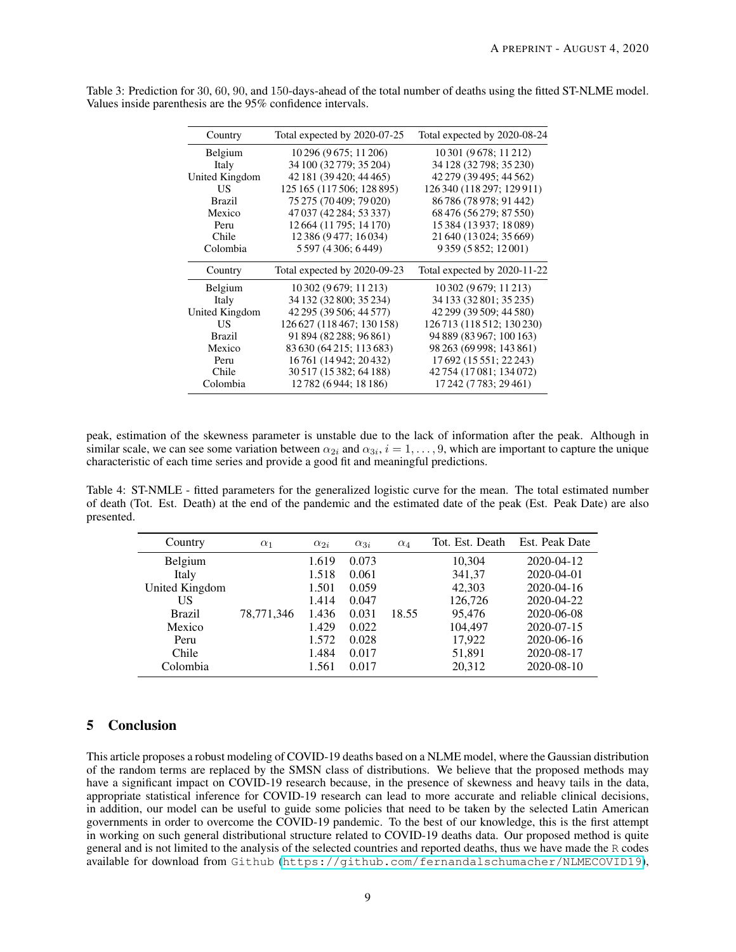| Country        | Total expected by 2020-07-25 | Total expected by 2020-08-24 |  |
|----------------|------------------------------|------------------------------|--|
| Belgium        | 10 296 (9 675; 11 206)       | 10 301 (9 678; 11 212)       |  |
| Italy          | 34 100 (32 779; 35 204)      | 34 128 (32 798; 35 230)      |  |
| United Kingdom | 42 181 (39 420; 44 465)      | 42 279 (39 495; 44 562)      |  |
| US             | 125 165 (117 506; 128 895)   | 126 340 (118 297; 129 911)   |  |
| <b>Brazil</b>  | 75 275 (70 409: 79 020)      | 86 786 (78 978: 91 442)      |  |
| Mexico         | 47 037 (42 284; 53 337)      | 68 476 (56 279; 87 550)      |  |
| Peru           | 12 664 (11 795; 14 170)      | 15 384 (13 937; 18 089)      |  |
| Chile          | 12 386 (9477; 16 034)        | 21 640 (13 024; 35 669)      |  |
| Colombia       | 5 597 (4 306; 6 449)         | 9 359 (5 852; 12 001)        |  |
| Country        | Total expected by 2020-09-23 | Total expected by 2020-11-22 |  |
| Belgium        | 10 302 (9 679; 11 213)       | 10 302 (9 679; 11 213)       |  |
| Italy          | 34 132 (32 800; 35 234)      |                              |  |
|                |                              | 34 133 (32 801; 35 235)      |  |
| United Kingdom | 42 295 (39 506; 44 577)      | 42 299 (39 509; 44 580)      |  |
| US             | 126 627 (118 467; 130 158)   | 126 713 (118 512; 130 230)   |  |
| <b>Brazil</b>  | 91 894 (82 288; 96 861)      | 94 889 (83 967; 100 163)     |  |
| Mexico         | 83 630 (64 215; 113 683)     | 98 263 (69 998; 143 861)     |  |
| Peru           | 16761 (14942; 20432)         | 17 692 (15 551; 22 243)      |  |
| Chile          | 30 517 (15 382; 64 188)      | 42 754 (17 081; 134 072)     |  |
| Colombia       | 12782 (6944; 18 186)         | 17 242 (7 783; 29 461)       |  |

<span id="page-8-1"></span>Table 3: Prediction for 30, 60, 90, and 150-days-ahead of the total number of deaths using the fitted ST-NLME model. Values inside parenthesis are the 95% confidence intervals.

peak, estimation of the skewness parameter is unstable due to the lack of information after the peak. Although in similar scale, we can see some variation between  $\alpha_{2i}$  and  $\alpha_{3i}$ ,  $i = 1, \ldots, 9$ , which are important to capture the unique characteristic of each time series and provide a good fit and meaningful predictions.

<span id="page-8-2"></span>Table 4: ST-NMLE - fitted parameters for the generalized logistic curve for the mean. The total estimated number of death (Tot. Est. Death) at the end of the pandemic and the estimated date of the peak (Est. Peak Date) are also presented.

| Country        | $\alpha_1$ | $\alpha_{2i}$ | $\alpha_{3i}$ | $\alpha_4$ | Tot. Est. Death | Est. Peak Date |
|----------------|------------|---------------|---------------|------------|-----------------|----------------|
| Belgium        | 78,771,346 | 1.619         | 0.073         | 18.55      | 10,304          | 2020-04-12     |
| Italy          |            | 1.518         | 0.061         |            | 341,37          | 2020-04-01     |
| United Kingdom |            | 1.501         | 0.059         |            | 42,303          | 2020-04-16     |
| US             |            | 1.414         | 0.047         |            | 126,726         | 2020-04-22     |
| <b>Brazil</b>  |            | 1.436         | 0.031         |            | 95,476          | 2020-06-08     |
| Mexico         |            | 1.429         | 0.022         |            | 104,497         | 2020-07-15     |
| Peru           |            | 1.572         | 0.028         |            | 17,922          | 2020-06-16     |
| Chile          |            | 1.484         | 0.017         |            | 51,891          | 2020-08-17     |
| Colombia       |            | 1.561         | 0.017         |            | 20,312          | 2020-08-10     |

## <span id="page-8-0"></span>5 Conclusion

This article proposes a robust modeling of COVID-19 deaths based on a NLME model, where the Gaussian distribution of the random terms are replaced by the SMSN class of distributions. We believe that the proposed methods may have a significant impact on COVID-19 research because, in the presence of skewness and heavy tails in the data, appropriate statistical inference for COVID-19 research can lead to more accurate and reliable clinical decisions, in addition, our model can be useful to guide some policies that need to be taken by the selected Latin American governments in order to overcome the COVID-19 pandemic. To the best of our knowledge, this is the first attempt in working on such general distributional structure related to COVID-19 deaths data. Our proposed method is quite general and is not limited to the analysis of the selected countries and reported deaths, thus we have made the R codes available for download from Github (<https://github.com/fernandalschumacher/NLMECOVID19>),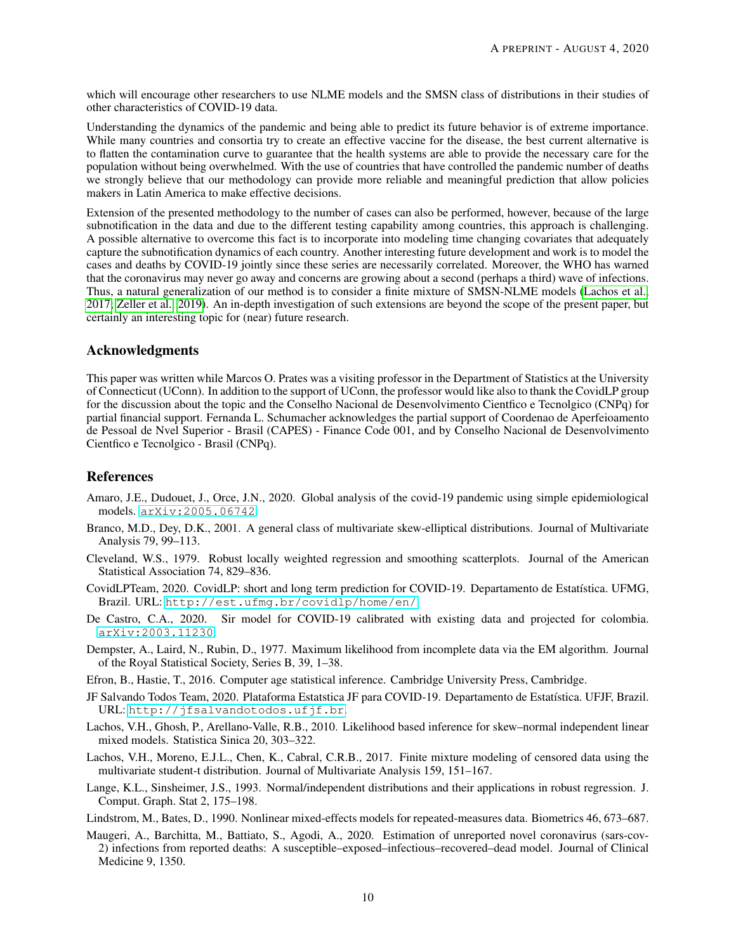which will encourage other researchers to use NLME models and the SMSN class of distributions in their studies of other characteristics of COVID-19 data.

Understanding the dynamics of the pandemic and being able to predict its future behavior is of extreme importance. While many countries and consortia try to create an effective vaccine for the disease, the best current alternative is to flatten the contamination curve to guarantee that the health systems are able to provide the necessary care for the population without being overwhelmed. With the use of countries that have controlled the pandemic number of deaths we strongly believe that our methodology can provide more reliable and meaningful prediction that allow policies makers in Latin America to make effective decisions.

Extension of the presented methodology to the number of cases can also be performed, however, because of the large subnotification in the data and due to the different testing capability among countries, this approach is challenging. A possible alternative to overcome this fact is to incorporate into modeling time changing covariates that adequately capture the subnotification dynamics of each country. Another interesting future development and work is to model the cases and deaths by COVID-19 jointly since these series are necessarily correlated. Moreover, the WHO has warned that the coronavirus may never go away and concerns are growing about a second (perhaps a third) wave of infections. Thus, a natural generalization of our method is to consider a finite mixture of SMSN-NLME models [\(Lachos et al.,](#page-9-12) [2017;](#page-9-12) [Zeller et al., 2019\)](#page-10-12). An in-depth investigation of such extensions are beyond the scope of the present paper, but certainly an interesting topic for (near) future research.

## Acknowledgments

This paper was written while Marcos O. Prates was a visiting professor in the Department of Statistics at the University of Connecticut (UConn). In addition to the support of UConn, the professor would like also to thank the CovidLP group for the discussion about the topic and the Conselho Nacional de Desenvolvimento Cientfico e Tecnolgico (CNPq) for partial financial support. Fernanda L. Schumacher acknowledges the partial support of Coordenao de Aperfeioamento de Pessoal de Nvel Superior - Brasil (CAPES) - Finance Code 001, and by Conselho Nacional de Desenvolvimento Cientfico e Tecnolgico - Brasil (CNPq).

## References

- <span id="page-9-6"></span>Amaro, J.E., Dudouet, J., Orce, J.N., 2020. Global analysis of the covid-19 pandemic using simple epidemiological models. [arXiv:2005.06742](http://arxiv.org/abs/2005.06742).
- <span id="page-9-3"></span>Branco, M.D., Dey, D.K., 2001. A general class of multivariate skew-elliptical distributions. Journal of Multivariate Analysis 79, 99–113.
- <span id="page-9-7"></span>Cleveland, W.S., 1979. Robust locally weighted regression and smoothing scatterplots. Journal of the American Statistical Association 74, 829–836.
- <span id="page-9-0"></span>CovidLPTeam, 2020. CovidLP: short and long term prediction for COVID-19. Departamento de Estatística. UFMG, Brazil. URL: <http://est.ufmg.br/covidlp/home/en/>.
- <span id="page-9-8"></span>De Castro, C.A., 2020. Sir model for COVID-19 calibrated with existing data and projected for colombia. [arXiv:2003.11230](http://arxiv.org/abs/2003.11230).
- <span id="page-9-10"></span>Dempster, A., Laird, N., Rubin, D., 1977. Maximum likelihood from incomplete data via the EM algorithm. Journal of the Royal Statistical Society, Series B, 39, 1–38.
- <span id="page-9-11"></span>Efron, B., Hastie, T., 2016. Computer age statistical inference. Cambridge University Press, Cambridge.
- <span id="page-9-1"></span>JF Salvando Todos Team, 2020. Plataforma Estatstica JF para COVID-19. Departamento de Estatística. UFJF, Brazil. URL: <http://jfsalvandotodos.ufjf.br>.
- <span id="page-9-9"></span>Lachos, V.H., Ghosh, P., Arellano-Valle, R.B., 2010. Likelihood based inference for skew–normal independent linear mixed models. Statistica Sinica 20, 303–322.
- <span id="page-9-12"></span>Lachos, V.H., Moreno, E.J.L., Chen, K., Cabral, C.R.B., 2017. Finite mixture modeling of censored data using the multivariate student-t distribution. Journal of Multivariate Analysis 159, 151–167.
- <span id="page-9-4"></span>Lange, K.L., Sinsheimer, J.S., 1993. Normal/independent distributions and their applications in robust regression. J. Comput. Graph. Stat 2, 175–198.
- <span id="page-9-2"></span>Lindstrom, M., Bates, D., 1990. Nonlinear mixed-effects models for repeated-measures data. Biometrics 46, 673–687.
- <span id="page-9-5"></span>Maugeri, A., Barchitta, M., Battiato, S., Agodi, A., 2020. Estimation of unreported novel coronavirus (sars-cov-2) infections from reported deaths: A susceptible–exposed–infectious–recovered–dead model. Journal of Clinical Medicine 9, 1350.